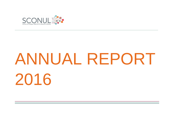

# ANNUAL REPORT 2016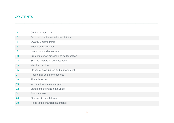# **CONTENTS**

| $\overline{2}$ | Chair's introduction                      |
|----------------|-------------------------------------------|
| 3              | Reference and administrative details      |
| 4              | <b>SCONUL membership</b>                  |
| 6              | Report of the trustees                    |
| 7              | Leadership and advocacy                   |
| 10             | Promoting good practice and collaboration |
| 12             | SCONUL's partner organisations            |
| 13             | Member services                           |
| 15             | Structure, governance and management      |
| 17             | Responsibilities of the trustees          |
| 18             | <b>Financial review</b>                   |
| 19             | Independent auditors' report              |
| 22             | Statement of financial activities         |
| 24             | <b>Balance sheet</b>                      |
| 26             | Statement of cash flows                   |
| 28             | Notes to the financial statements         |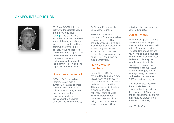# CHAIR'S INTRODUCTION



2016 saw SCONUL begin delivering the projects set out in our new, ambitious [strategy.](http://www.sconul.ac.uk/sites/default/files/documents/Collaborating%20for%20Change%20-%20SCONUL%20strategy%202016-19_0.pdf) The projects we embarked on in 2016 address some of the major challenges faced by the academic library community over the next decade, including leadership development and support; the development of new abovecampus services and workforce development. In the meantime, a few personal highlights of the year were:

#### Shared services toolkit

SCONUL's Collaboration Strategy Group held a symposium in 2015 to share consortia's experiences of collaborative working. One of the outcomes of this discussion has been the development of a Shared Services Toolkit, authored by

Dr Richard Parsons of the University of Dundee.

\_\_\_\_\_\_\_\_\_\_\_\_\_\_\_\_\_\_\_\_\_\_\_\_\_\_\_\_\_\_\_\_\_\_\_\_\_\_\_\_\_\_\_\_\_\_\_\_\_\_\_\_\_\_\_\_\_\_\_\_\_\_\_\_\_\_\_\_\_\_\_\_\_\_\_\_\_\_\_\_\_\_\_\_\_\_\_\_\_

The toolkit provides a mechanism for understanding success criteria for library shared services projects and is an important contribution to an area of great interest across HE. SCONUL has recently begun a conversation with HEFCE about how to build on this work.

## New service for members

During 2016 SCONUL brokered the launch of a new virtual out-of-hours enquiry service, based on a Northern Collaboration pilot with OCLC. This innovative initiative has allowed us to deliver a national scheme at a rate which is affordable for members. Membership is being rolled out in several tranches, and we will carry

out a formal evaluation of the service during 2017.

#### Design Awards

Another highlight of 2016 has been our triennial Design Awards, with a ceremony held at the Museum of London. The standard of applications was very high and the judges were faced with some difficult decisions. Ultimately the awards were given to the Hive, at the University of Worcester in the over 2,000 sq metres category, and to Heritage Quay, University of Huddersfield in the under 2,000 sq metres category.

This year we also mourned the untimely death of Lawrence Bebbington from the University of Aberdeen, and our condolences go to his family and colleagues from the whole community.

Mark Toole, Chair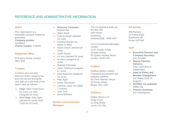# REFERENCE AND ADMINISTRATIVE INFORMATION

#### **Status**

The organisation is a charitable company limited by guarantee. **Company number**: 01436951 **Charity number**: 278550

#### Registered Office

94 Euston Street, London NW1 9HA

#### **Trustees**

Trustees, who are also directors under company law and who served during the year and up to the date of this report were as follows:

- **Chair:** Mark Toole (from 24 June); Liz Jolly (resigned 24 June)
- **Vice-Chair:** Kitty Inglis (elected 24 June); Mark Toole (to 24 June)
- **Honorary Treasurer:**  Robert Hall
- Alison Baud
- Frances Boyle (elected 24 June)
- Caroline Brazier (coopted 12 May)
- Roisin Gwyer (elected 24 June)
- Judith Keene
- Liz Kerr (elected 24 June)
- Jo Norry (resigned 24 June)
- Gobnait O'Riordan
- Oliver Pritchard (resigned 27 June)
- Kate Robinson (resigned 24 June)
- Pete Ryan
- Alison Stevenson
- Caroline Taylor (co-opted 2 August)
- John Tuck
- Steve Williams

Bankers and Investment **Managers** 

The Co-operative Bank plc PO Box 250 Delf House Southway Skelmersdale WN8 6WT

CCLA Investment Managers Limited COIF Charity Funds Senator House 85 Queen Victoria Street London EC4V 4ET

#### Auditors

\_\_\_\_\_\_\_\_\_\_\_\_\_\_\_\_\_\_\_\_\_\_\_\_\_\_\_\_\_\_\_\_\_\_\_\_\_\_\_\_\_\_\_\_\_\_\_\_\_\_\_\_\_\_\_\_\_\_\_\_\_\_\_\_\_\_\_\_\_\_\_\_\_\_\_\_\_\_\_\_\_\_\_\_\_\_\_\_\_

Godfrey Wilson Limited Chartered accountants and statutory auditors 5th Floor Mariner House 62 Prince Street Bristol, BS1 4QD

#### **Solicitors**

Walker Morris LLP Kings Court 12 King Street Leeds LS1 2HL

#### HR advisor

WB Ranken 16 Forest Edge Buckhurst Hill Essex IG9 5AA

#### **Staff**

- **Executive Director and Company Secretary** Ann Rossiter
- **Deputy Director, Services** Amy Lloyd (from 6 September)
- **Head of Policy and Member Engagement** Lori Bailey (until 24 August)
- **SCONUL Co-ordinator** SitMui Ng
- **Finance Assistant** Kim Hardingham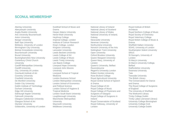## SCONUL MEMBERSHIP

Abertay University Aberystwyth University Anglia Ruskin University Arts University Bournemouth Aston University Bangor University Bath Spa University Birkbeck, University of London Birmingham City University Bishop Grosseteste University Bournemouth University Brunel University Buckinghamshire New University Canterbury Christ Church **University** Cardiff Metropolitan University Cardiff University City, University of London Courtauld Institute of Art Coventry University Cranfield University De Montfort University Dublin City University Dublin Institute of Technology Durham University Edge Hill University Edinburgh Napier University Falmouth University Glasgow Caledonian University Glasgow School of Art Glyndwr University Goldsmiths, University of London

Guildhall School of Music and Drama Harper Adams University Heriot-Watt University Heythrop College Imperial College, London Institute of Cancer Research King's College, London Kingston University Lancaster University Leeds Beckett University Leeds College of Art Leeds College of Music Leeds Trinity University Leo Baeck College Liverpool Hope University Liverpool John Moores **University** Liverpool School of Tropical Medicine London Business School London Metropolitan University London School of Economics and Political Science London School of Hygiene & Tropical Medicine London South Bank University Loughborough University Manchester Metropolitan **University** Maynooth University Middlesex University

National Library of Ireland National Library of Scotland National Library of Wales National University of Ireland, Galway Newcastle University Newman University Northumbria University Norwich University of the Arts Nottingham Trent University Open University Oxford Brookes University Queen Margaret University Queen Mary, University of London Queen's University, Belfast Ravensbourne Regent's University London Robert Gordon University Rose Bruford College Royal Agricultural University Royal Central School of Speech & Drama Royal College of Art Royal College of Music Royal College of Physicians and Surgeons of Glasgow Royal College of Surgeons in Ireland Royal Conservatoire of Scotland Royal Holloway, University of London

Royal Institute of British **Architects** Royal Northern College of Music Royal Society of Chemistry Royal Veterinary College Royal Welsh College of Music & Drama Sheffield Hallam University SOAS, University of London Southampton Solent University SRUC St George's, University of London St Mary's University St Mary's University College, Belfast Staffordshire University Swansea University **Tate** Teesside University The British Library The Conservatoire for Dance and Drama The Royal College of Surgeons of England The University of Sheffield The Wellcome Library Trinity College Dublin Trinity Laban (Jerwood Library) University College Birmingham University College Cork University College Dublin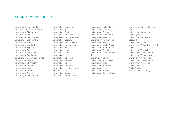## SCONUL MEMBERSHIP

University College London University for the Creative Arts University of Aberdeen University of Bath University of Bedfordshire University of Birmingham University of Bolton University of Bradford University of Brighton University of Bristol University of Buckingham University of Cambridge University of Central Lancashire University of Chester University of Chichester University of Cumbria University of Derby University of Dundee University of East Anglia University of East London

University of Edinburgh University of Essex University of Exeter University of Glasgow University of Gloucestershire University of Greenwich University of Hertfordshire University of Huddersfield University of Hull University of Keele University of Kent University of Leeds University of Leicester University of Limerick University of Lincoln University of Liverpool University of London, Senate House Libraries University of Manchester University of Northampton

University of Nottingham University of Oxford University of Plymouth University of Portsmouth University of Reading University of Roehampton University of Salford University of South Wales University of Southampton University of St Andrews University of St Mark and St John University of Stirling University of Strathclyde University of Suffolk University of Sunderland University of Surrey University of Sussex University of the Arts London University of the Highlands and Islands University of the West of England, Bristol University of the West of **Scotland** University of Ulster University of Wales Trinity Saint David University of Warwick University of West London University of Westminster University of Winchester University of Wolverhampton University of Worcester University of York Writtle College York St John University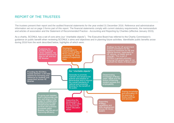# REPORT OF THE TRUSTEES

The trustees present their report and the audited financial statements for the year ended 31 December 2016. Reference and administrative information set out on page 3 forms part of this report. The financial statements comply with current statutory requirements, the memorandum and articles of association and the Statement of Recommended Practice - Accounting and Reporting by Charities (effective January 2015).

\_\_\_\_\_\_\_\_\_\_\_\_\_\_\_\_\_\_\_\_\_\_\_\_\_\_\_\_\_\_\_\_\_\_\_\_\_\_\_\_\_\_\_\_\_\_\_\_\_\_\_\_\_\_\_\_\_\_\_\_\_\_\_\_\_\_\_\_\_\_\_\_\_\_\_\_\_\_\_\_\_\_\_\_\_\_\_\_\_

As a charity, SCONUL has a set of core aims (our "charitable objects"). The Executive Board has referred to the Charity Commission's guidance on public benefit when reviewing SCONUL's aims and objectives and in planning future activities. Identifiable public benefits arose during 2016 from the work described below, highlights of which were:

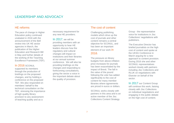# LEADERSHIP AND ADVOCACY

## HE reforms

The pace of change in Higher Education policy continued unabated in 2016 with the announcement of the Bell review into UK HE sector agencies in March, the publication of the Higher Education and Research Bill in May and further details of the working of the Teaching Excellence Framework (TEF).

#### In 2016 SCONUL

supported its members through the production of briefings on the proposed changes, and by holding a conference on the proposed TEF. We also responded on members' behalf to the technical consultation on the TEF, stressing the importance of high quality library provision to any assessment of teaching quality and as a

necessary requirement for any new HE providers.

In 2017, we will be providing members with an opportunity to hear HE leaders discuss how the regulatory and cultural changes will impact on institutions and their libraries at our annual summer conference. We will also be providing briefings on the changes and responding to forthcoming consultations, giving the sector a voice in the important debate about the quality of provision.

#### The cost of content

\_\_\_\_\_\_\_\_\_\_\_\_\_\_\_\_\_\_\_\_\_\_\_\_\_\_\_\_\_\_\_\_\_\_\_\_\_\_\_\_\_\_\_\_\_\_\_\_\_\_\_\_\_\_\_\_\_\_\_\_\_\_\_\_\_\_\_\_\_\_\_\_\_\_\_\_\_\_\_\_\_\_\_\_\_\_\_\_\_

Challenging publishing models which drive up the cost of journals and other content remains a central objective for SCONUL, and has been an important element of our work in 2016.

The pressure on library budgets from above-inflation price increases for journals has been exacerbated by the impact of Brexit. The fall in the value of the pound following the vote has added significantly to the cost of content for many member libraries where agreements are priced in euros or dollars.

SCONUL works closely with partners in this area and is an active member of the Jisc Collections Content Strategy

Group - the representative voice for institutions in Jisc Collections' negotiations with publishers.

The Executive Director has briefed journalists on the high cost of content and spoke at the UKSG Conference in March arguing for a new approach to content provision. During 2016 she and other SCONUL representatives worked closely with partners including Jisc Collections and RLUK on negotiations with Elsevier on behalf of the sector.

In 2017 our Content Group will continue this work, liaising closely with Jisc Collections on individual negotiations and engaging in the public debate on the high cost of content.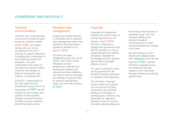# LEADERSHIP AND ADVOCACY

## **Scholarly** communications

SCONUL has a long-standing commitment to fostering open access to scholarly content, and in 2016, we worked closely with Jisc on the development of a set of services to support institutions in handling the complexities of OA related processes and payments. We also contributed to the review of OA policy by Professor Adam Tickell for the Minister of State for Universities and Science. Jo Johnson MP.

SCONUL is represented on the UUK Open Access Coordination group and on its sub-groups. In 2017 we will continue to work closely with partners on the systemic changes required to ensure that the UK gains maximum benefit from open access.

## Research data management

Supporting member libraries to contribute fully to research data management within their institutions has also been a significant element of our work in 2016.

SCONUL has been collaborating with Jisc, RLUK, RUGIT and UCISA on the "Research at Risk" programme to identify and develop the systems and infrastructure that institutions will need in order to maximise the benefits of research data to research and learning. Again, this work will continue in 2017.

# **Copyright**

\_\_\_\_\_\_\_\_\_\_\_\_\_\_\_\_\_\_\_\_\_\_\_\_\_\_\_\_\_\_\_\_\_\_\_\_\_\_\_\_\_\_\_\_\_\_\_\_\_\_\_\_\_\_\_\_\_\_\_\_\_\_\_\_\_\_\_\_\_\_\_\_\_\_\_\_\_\_\_\_\_\_\_\_\_\_\_\_\_

Copyright and intellectual property law remain issues of central importance for all libraries, and in 2016 SCONUL continued to engage with government and with its members on reform, largely through the umbrella groupings Copyright for Knowledge and the Libraries and Archives Copyright Alliance (LACA).

Our aim is to present a clear set of arguments for the benefits of greater openness in scholarly communications.

The SCONUL Copyright Group, made up of experts from among the SCONUL community, also provided briefings to members on developments. SCONUL has advocated for regulatory regimes for the UK and the EU which will allow data and

text mining in the interests of academic study. This has included writing to the relevant European Commissioners to make recommendations for change in this area.

We will continue to work closely and collaboratively with colleagues in the UK and beyond in 2017, and the SCONUL Copyright Group will continue to provide support to the community through briefings and training opportunities.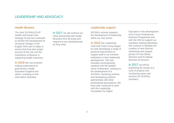# LEADERSHIP AND ADVOCACY

#### Health libraries

The Joint SCONUL/CILIP Health and Social Care Strategy Group has continued to monitor the development of structural changes in the English NHS and to lobby to ensure that they take proper account of the role and the importance of libraries in supporting health outcomes.

In 2016 this has involved making submissions to government, Health Education England and others, including on the Information Standard.

In 2017 we will continue our close partnership with health librarians from all areas and respond to any developments as they arise.

## Leadership support

\_\_\_\_\_\_\_\_\_\_\_\_\_\_\_\_\_\_\_\_\_\_\_\_\_\_\_\_\_\_\_\_\_\_\_\_\_\_\_\_\_\_\_\_\_\_\_\_\_\_\_\_\_\_\_\_\_\_\_\_\_\_\_\_\_\_\_\_\_\_\_\_\_\_\_\_\_\_\_\_\_\_\_\_\_\_\_\_\_

SCONUL actively supports the development of leadership within our own sector.

In 2016 the Leadership Task and Finish Group began its work developing a range of practical interventions to support staff in our member institutions in their leadership development. This has included commissioning research into HE leaders' views of librarians, working on the development of a SCONUL mentoring scheme and developing practical partnerships with other professional associations. We have also continued to work with the Leadership Foundation for Higher

Education in the development of its Future Professional Directors Programme and with the HEA to support our members seeking fellowship. We continue to facilitate the creation of new informal networking and support groups for new library directors and for deputy directors of services.

In  $2017$  we will be publishing the results of a suite of projects and introducing some new services for SCONUL members.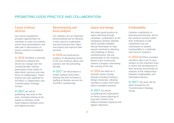# PROMOTING GOOD PRACTICE AND COLLABORATION

## Future of library services

Our events programme provides opportunities for members to meet one another and to hear presentations and take part in discussions on issues common to academic libraries.

In 2016 SCONULL's summer conference explored the drivers for change over the coming decade, looking particularly at the impact of data driven services and new forms of collaboration. These themes are also explored by SCONUL's Collaboration and Transformation Strategy Groups.

#### In 2017 we will be

publishing new work in this area, including looking at the impact on libraries of the future balance between print and digital provision.

### Benchmarking and trend analysis

Our statistics are an important benchmarking tool for libraries in their quest to understand and demonstrate their value and impact and improve their services.

In 2016 we produced an analysis of developing trends in the use of library space and practice over the preceding decade.

In 2017 we will produce a similar analysis document, looking this time at trends in staffing at libraries across the SCONUL membership.

### Space and design

\_\_\_\_\_\_\_\_\_\_\_\_\_\_\_\_\_\_\_\_\_\_\_\_\_\_\_\_\_\_\_\_\_\_\_\_\_\_\_\_\_\_\_\_\_\_\_\_\_\_\_\_\_\_\_\_\_\_\_\_\_\_\_\_\_\_\_\_\_\_\_\_\_\_\_\_\_\_\_\_\_\_\_\_\_\_\_\_\_

We share good practice on space planning through members' contributions to the Designing Libraries website. which provides detailed factual information to help anyone involved in planning new buildings or library refurbishments. We are represented on the Advisory Board of the Community Interest Company overseeing the running of the site.

In 2016 we held our a triennial Library Design Awards including hosting a design showcase, allowing members to learn from each other's excellent practice.

In  $2017$  we will be considering the implications for library space planning of long term trends in the balance between physical and digital collections.

#### **Employability**

Libraries contribution to teaching and learning, and to the research function within their institutions is well understood, but our contribution to student employability is a relatively new area for research.

In 2016 SCONUL provided members with a set of case studies on this important area to inform the development of their services and provide an analysis of the relationships between employability and information literacy.

In 2017, this work will be taken forward by the Transformation Strategy Group.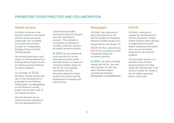# PROMOTING GOOD PRACTICE AND COLLABORATION

#### Shared services

SCONUL continues to be heavily involved in the shared services arena and works closely with Jisc to identify and scope new services through our Collaboration Strategy Group and other working groups.

We provide governance and advice on the development of existing areas of work as well as making recommendations for future initiatives.

For example, in 2016, SCONUL worked closely with Jisc on the development of proposals for the National Bibliographic Knowledgebase, on the Research at Risk project, and on their suite of OA support services.

We also followed up our shared services symposium with the development of a

shared services toolkit, authored by Richard Parsons from the University of Dundee. This provides a mechanism for libraries to consider criteria for success for shared services projects.

In 2017 we will continue to work with HEFCE on the development of the toolkit, and take forward our plans for a National Digital Library for the UK HE as a strategic intervention into the discussion about the future needs of the sector and the development of existing and new services.

## Monographs

\_\_\_\_\_\_\_\_\_\_\_\_\_\_\_\_\_\_\_\_\_\_\_\_\_\_\_\_\_\_\_\_\_\_\_\_\_\_\_\_\_\_\_\_\_\_\_\_\_\_\_\_\_\_\_\_\_\_\_\_\_\_\_\_\_\_\_\_\_\_\_\_\_\_\_\_\_\_\_\_\_\_\_\_\_\_\_\_\_

SCONUL has continued to work with partners on the HEFCE-funded UK Research Reserve (UKRR) project as it moved into its next phase. **In** 2016 SCONUL joined forces with RLUK and others to fund a feasibility study into successor services.

In 2017, we will be working closely with RLUK, Jisc and other partners on this and other relevant projects including the National Bibliographic Knowledgebase.

## **EThOS**

SCONUL continues to support the development of EThOS (Electronic Theses Online Service) which delivers a 'single point of access' where researchers the world over can access theses produced by UK doctoral students

The Executive Director is a member of the EThOS Advisory Board and helps shape the development of the service to meet the needs of the UK higher education library community.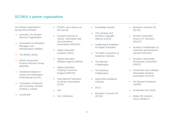# SCONUL's partner organisations

Our partner organisations during 2016 included:

- Amosshe, the Student Services Organisation
- Association for Research Managers and Administrators (ARMA)
- The British Library
- **•** British Universities Finance Directors Group (BUFDG)
- Chartered Institute of Library and Information Professionals (CILIP)
- **•** Consortium of National and University Libraries (CONUL), Ireland
- COUNTER
- EThOS, the e-theses online service
- European Bureau of Library, Information and Documentation Associations (EBLIDA)
- **Higher Education** Academy (HEA)
- Higher Education Statistics Agency (HESA)
- **Higher Education** Funding Council for England (HEFCE)
- International Federation of Library Associations (ILFA)
- Jisc
- Jisc Collections

• Knowledge Quarter

- The Libraries and Archives Copyright Alliance (LACA)
- Leadership Foundation for Higher Education
- The M25 Consortium of Academic Libraries
- The Mercian **Collaboration**
- The Northern Collaboration
- North West Academic Libraries
- OCLC
- Research Councils UK (RCUK)
- Research Libraries UK (RLUK)
- **Russell Universities** Group of IT Directors (RUGIT)
- Scottish Confederation of University and Research Libraries (SCURL)
- **Southern Universities** Purchasing Consortium (SUPC)
- Universities and Colleges Information Systems Association (UCISA)
- UK Research Reserve (UKRR)
- Universities UK (UUK)
- Wales HE Libraries Forum (WHELF)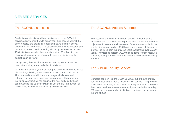# MEMBER SERVICES

## The SCONUL statistics

Production of statistics on library activities is a core SCONUL service, allowing members to benchmark their service against that of their peers, and providing a detailed picture of library activity across the UK and Ireland. The statistics are a unique resource and have an important role in ensuring efficiency in the sector. In 2016 153 institutions included their statistics, with 126 submitting the strategic planning subset of data released early in time for the budget planning round.

\_\_\_\_\_\_\_\_\_\_\_\_\_\_\_\_\_\_\_\_\_\_\_\_\_\_\_\_\_\_\_\_\_\_\_\_\_\_\_\_\_

During 2016, the statistics were also used by Jisc to inform its negotiations with journal and e-book publishers.

2016 was the second year SCONUL published a slimmed down set of statistics, following a fundamental review carried out in 2014. This removed those which were no longer widely used and tightened up definitions to ensure comparability. The number of institutions contributing has continued to rise, particularly those contributing to the Strategic Planning Set of data - the number of participating institutions has risen by 10% since 2014.

## The SCONUL Access Scheme

The Access Scheme is an important enabler for students and researchers at UK universities to pursue their studies and research objectives. In essence it allows users of one member institution to use the libraries of another. 173 libraries were a part of the scheme in 2016 (up three from the previous year), welcoming over 50,000 users. They loaned at least 94,000 unique items to staff, research students, post-graduates, part-time students and distance learning students.

\_\_\_\_\_\_\_\_\_\_\_\_\_\_\_\_\_\_\_\_\_\_\_\_\_\_\_\_\_\_\_\_\_\_\_\_\_

## **The Virtual Enquiry Service**

Members can now join the SCONUL virtual out-of-hours enquiry service, based on the OCLC QuestionPoint service. This provides cover when the library is not staffed, allowing libraries to ensure that their users can have access to an enquiry service 24 hours a day, 365 days a year. 44 member institutions had joined the scheme at the end of 2016.

\_\_\_\_\_\_\_\_\_\_\_\_\_\_\_\_\_\_\_\_\_\_\_\_\_\_\_\_\_\_\_\_\_\_\_\_\_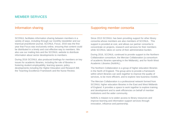# MEMBER SERVICES

## Information sharing

SCONUL facilitates information sharing between members in a variety of ways, including through our monthly newsletter and our triannual practitioner journal, SCONUL Focus. 2016 was the first year that Focus was exclusively online, ensuring that content could be distributed in a timely and cost effective way to members. We also use our mailing lists and the SCONUL website to distribute information about sector developments to members.

\_\_\_\_\_\_\_\_\_\_\_\_\_\_\_\_\_\_\_\_\_\_\_\_\_\_\_\_\_\_\_\_\_\_\_\_\_\_\_\_\_\_

During 2016 SCONUL also produced briefings for members on key issues for academic libraries, including the role of libraries in fostering student employability; learning spaces; policy developments including the Higher Education and Research Bill; the Teaching Excellence Framework and the Nurse Review.

### Supporting member consortia

Since 2013 SCONUL has been providing support for other library consortia whose members are also members of SCONUL. This support is provided at cost, and allows our partner consortia to concentrate on projects, research and services for their members while SCONUL takes on some of their administrative burden.

\_\_\_\_\_\_\_\_\_\_\_\_\_\_\_\_\_\_\_\_\_\_\_\_\_\_\_\_\_\_\_\_\_\_\_\_\_\_\_\_\_\_

During 2016, SCONUL continued to provide support to the Northern Collaboration consortium, the Mercian Collaboration (a consortium of academic libraries operating in the Midlands), and for North West Academic Libraries (NoWAL).

The Northern Collaboration is a group of higher education libraries in the North of England. The group aims to provide a framework within which libraries can work together to improve the quality of services, to be more efficient, and to explore new business models.

The Mercian Collaboration is a professional network formed from SCONUL higher education libraries in the East and West Midlands of England. It provides a space to work together to explore training and development and to seek efficiencies on behalf of member institutions and the wider community.

NoWAL's mission is to widen access to library resources and improve learning and information support services through innovation, influence and partnership.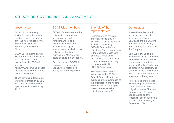# STRUCTURE, GOVERNANCE AND MANAGEMENT

#### Governance

SCONUL is a company limited by guarantee which has been given a licence to omit the word 'limited' by the Secretary of State for Business, Innovation and Skills.

SCONUL is governed by its Memorandum and Articles of Association which are available on the SCONUL website:

https://www.sconul.ac.uk/sites /default/files/documents/Articl esofAssociation.pdf

These governing documents were incorporated on 13 July 1979 and last amended by Special Resolution on 3 July 2015.

## SCONUL's members

SCONUL's members are the universities and national libraries of the United Kingdom and Ireland, together with most other UK institutions of higher education and institutions with collections of national significance. Members are listed on page 4 of this report.

Each member of SCONUL appoints a representative, usually the director of its library service or equivalent.

## The role of the representatives

\_\_\_\_\_\_\_\_\_\_\_\_\_\_\_\_\_\_\_\_\_\_\_\_\_\_\_\_\_\_\_\_\_\_\_\_\_\_\_\_\_\_\_\_\_\_\_\_\_\_\_\_\_\_\_\_\_\_\_\_\_\_\_\_\_\_\_\_\_\_\_\_\_\_\_\_\_\_\_\_\_\_\_\_\_\_\_\_\_

Representatives have an important role to play in SCONUL as the voice of their institution, influencing SCONUL's priorities and objectives. Their contributions to the Board, to SCONUL's Strategy Groups and in representing the community on a wide range of working groups are critical to SCONUL's success.

Representatives have a formal role at the SCONUL Annual General Meeting in overseeing the governance of the organisation and helping to set SCONUL's strategy to meet its core charitable objective (see page 6).

#### Our trustees

Fifteen Executive Board members (see page 3) constitute the Company's Board and are the Charity's trustees, each of whom, in formal terms, is a Director of the Company.

Until June, twelve of the fifteen were elected and three were co-opted from partner organisations. A further member, Caroline Taylor, was co-opted in August following Oliver Pritchard's resignation. Elected members serve for a maximum of three years.

New trustees are provided with briefings on the working of the charity and their obligations under Charity and Company law. Training in good practice and the responsibilities of trustees is provided, most recently in September 2016.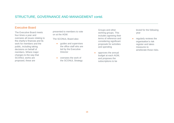# STRUCTURE, GOVERNANCE AND MANAGEMENT contd.

## Executive Board

The Executive Board meets four times a year and oversees all issues relating to the charity's finances and its work for members and the public, including taking decisions on behalf of members. Where major changes to the way that SCONUL works are proposed, these are

presented to members to vote on at the AGM.

The SCONUL Board also:

- **•** guides and supervises the office staff who are led by the Executive **Director**
- oversees the work of the SCONUL Strategy

Groups and other working groups. This includes agreeing their terms of reference and considering significant proposals for activities and spending

• approves the annual budget at each AGM, and proposes the subscriptions to be

levied for the following year

• regularly reviews the organisation's risk register and takes measures to ameliorate those risks.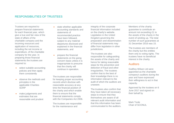#### RESPONSIBILITIES OF TRUSTEES

Trustees are required to prepare financial statements for each financial year, which give a true and fair view of the state of affairs of the charitable company and the incoming resources and application of resources, including the net income or expenditure, of the charitable company for the year. In preparing those financial statements the trustees are required to:

- select suitable accounting policies and then apply them consistently
- observe the methods and principles in the applicable Charities **SORP**
- make judgements and estimates that are reasonable and prudent
- state whether applicable accounting standards and statements of recommended practice have been followed, subject to any material departures disclosed and explained in the financial statements, and
- prepare the financial statements on the going concern basis unless it is inappropriate to presume that the charity will continue in operation.

The trustees are responsible for keeping proper accounting records which disclose with reasonable accuracy at any time the financial position of the charity and which enable them to ensure that the financial statements comply with the Companies Act 2006.

The trustees are responsible for the maintenance and

integrity of the corporate financial information included on the charity's website. Legislation in the United Kingdom governing the preparation and dissemination of financial statements may differ from legislation in other jurisdictions.

The trustees are also responsible for safeguarding the assets of the charity and hence for taking reasonable steps for the prevention and detection of fraud and other irregularities. The trustees confirm that to the best of their knowledge there is no information relevant to the audit of which the auditors are unaware.

The trustees also confirm that they have taken all necessary steps to ensure that they themselves are aware of all relevant audit information and that this information has been communicated to the auditors. Members of the charity guarantee to contribute an amount not exceeding £1 to the assets of the charity in the event of winding up. The total number of such guarantees at 31 December 2016 was 15.

The trustees are members of the charity but this entitles them only to voting rights. The trustees have no beneficial interest in the charity.

#### Auditors

Godfrey Wilson Ltd were appointed as the charitable company's auditors during the year and have expressed their willingness to act in that capacity.

Approved by the trustees on 6 June 2017 and signed on their behalf by

Mark Toole Chair of SCONUL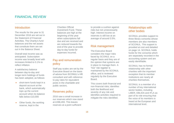## FINANCIAL REVIEW

#### Introduction

The results for the year to 31 December 2016 are set out in the Statement of Financial Activities. The Charity's fund balances and the net assets that constitute them are set out in the Balance Sheet.

Overall total income was as anticipated. Subscription income was broadly level with increases limited to 0.1% to reflect inflation.

A satisfactory balance between day-to-day and longer-term holdings of funds has been adopted, as follows:

- short-term funds kept in a deposit account at the bank, which automatically tops up the current account when its balance falls below £10,000
- Other funds, the working reserve, kept in the

Charities Official Investment Fund. These balances are high at the beginning of the year when subscriptions fall due and are received and are reduced towards the end of the year to provide day-to-day funds for expenses incurred.

## Pay and remuneration policy

Staff pay scales are set by the Executive Board on the basis of advice from SCONUL's HR consultant and with reference to pay rates for equivalent posts in the charitable and public sectors.

#### Reserves policy

2016 saw a small increase in our reserves which now stand at £288,493. This leaves reserves at a point sufficient

to provide a cushion against risks but not unnecessarily high. Interest income on reserves is still low at an average of around 0.5%.

#### Risk management

The Executive Board considers the major risks faced by SCONUL on a regular basis and they are of the opinion that systems are in place to manage them. A "live" risk register is maintained by the SCONUL office, and is reviewed regularly by the Executive Board.

This covers both financial and non-financial risks; identifies both the likelihood and severity of any risk and identifies activities required to mitigate the risks identified.

## Relationships with other bodies

SCONUL provides support to three library consortia whose members are also members of SCONUL. This support is provided at cost and detailed on page 14. SCONUL holds funds for the consortia which are separately recorded in the accounting system and are easily identifiable.

SCONUL has no formal relationship with other charities with the important exception that its member institutions are nearly all charities themselves.

SCONUL is a member of a number of key international sector bodies, including LIBER, EBLIDA and IFLA as part of its role ensuring that the voice of its members is heard at the European and international level.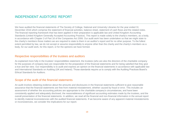# INDEPENDENT AUDITORS' REPORT

We have audited the financial statements of The Society of College, National and University Libraries for the year ended 31 December 2016 which comprise the statement of financial activities, balance sheet, statement of cash flows and the related notes. The financial reporting framework that has been applied in their preparation is applicable law and United Kingdom Accounting Standards (United Kingdom Generally Accepted Accounting Practice). This report is made solely to the charity's members, as a body, in accordance with Chapter 3 of Part 16 of the Companies Act 2006. Our audit work has been undertaken so that we might state to the charity's members those matters we are required to state to them in an auditor's report and for no other purpose. To the fullest extent permitted by law, we do not accept or assume responsibility to anyone other than the charity and the charity's members as a body, for our audit work, for this report, or for the opinions we have formed.

\_\_\_\_\_\_\_\_\_\_\_\_\_\_\_\_\_\_\_\_\_\_\_\_\_\_\_\_\_\_\_\_\_\_\_\_\_\_\_\_\_\_\_\_\_\_\_\_\_\_\_\_\_\_\_\_\_\_\_\_\_\_\_\_\_\_\_\_\_\_\_\_\_\_\_\_\_\_\_\_\_\_\_\_\_\_\_\_\_

#### Respective responsibilities of the trustees and auditors

As explained more fully in the trustees' responsibilities statement, the trustees (who are also the directors of the charitable company for the purposes of company law) are responsible for the preparation of the financial statements and for being satisfied that they give a true and fair view. Our responsibility is to audit and express an opinion on the financial statements in accordance with applicable law and International Standards on Auditing (UK and Ireland). Those standards require us to comply with the Auditing Practices Board's Ethical Standards for Auditors.

#### Scope of the audit of the financial statements

An audit involves obtaining evidence about the amounts and disclosures in the financial statements sufficient to give reasonable assurance that the financial statements are free from material misstatement, whether caused by fraud or error. This includes an assessment of whether the accounting policies are appropriate to the charitable company's circumstances, and have been consistently applied and adequately disclosed, the reasonableness of significant accounting estimates made by the trustees, and the overall presentation of the financial statements. In addition, we read all the financial and non-financial information in the annual report to identify material inconsistencies with the audited financial statements. If we become aware of any apparent material misstatements or inconsistencies, we consider the implications for our report.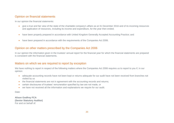## Opinion on financial statements

In our opinion the financial statements:

- give a true and fair view of the state of the charitable company's affairs as at 31 December 2016 and of its incoming resources and application of resources, including its income and expenditure, for the year then ended;
- have been properly prepared in accordance with United Kingdom Generally Accepted Accounting Practice; and
- have been prepared in accordance with the requirements of the Companies Act 2006.

## Opinion on other matters prescribed by the Companies Act 2006

In our opinion the information given in the trustees' annual report for the financial year for which the financial statements are prepared is consistent with the financial statements.

## Matters on which we are required to report by exception

We have nothing to report in respect of the following matters where the Companies Act 2006 requires us to report to you if, in our opinion:

- adequate accounting records have not been kept or returns adequate for our audit have not been received from branches not visited by us
- the financial statements are not in agreement with the accounting records and returns;
- certain disclosures of trustees' remuneration specified by law are not made, or
- we have not received all the information and explanations we require for our audit.

Date:

**Alison Godfrey FCA (Senior Statutory Auditor)** For and on behalf of: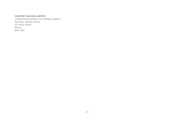#### **GODFREY WILSON LIMITED**

Chartered accountants and statutory auditors 5th Floor, Mariner House 62 Prince Street Bristol BS1 4QD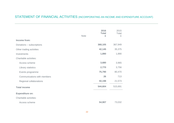# STATEMENT OF FINANCIAL ACTIVITIES (INCORPORATING AN INCOME AND EXPENDITURE ACCOUNT)

|                               | <b>Note</b> | 2016<br><b>Total</b><br>£ | 2015<br>Total<br>£ |
|-------------------------------|-------------|---------------------------|--------------------|
| Income from:                  |             |                           |                    |
| Donations - subscriptions     |             | 368,105                   | 367,949            |
| Other trading activities      |             | 42,145                    | 35,375             |
| Investments                   |             | 1,890                     | 1,890              |
| <b>Charitable activities:</b> |             |                           |                    |
| Access scheme                 |             | 3,680                     | 3,965              |
| Library statistics            |             | 2,770                     | 3,756              |
| Events programme              |             | 75,790                    | 80,470             |
| Communications with members   |             | 26                        | 713                |
| Regional collaborations       |             | 50,198                    | 21,573             |
| <b>Total income</b>           |             | 544,604                   | 515,691            |
| <b>Expenditure on:</b>        |             |                           |                    |
| Charitable activities:        |             |                           |                    |
| Access scheme                 |             | 54,907                    | 73,032             |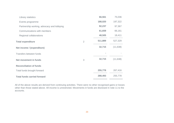| Library statistics                         |                | 66,561  | 75,036    |  |
|--------------------------------------------|----------------|---------|-----------|--|
| Events programme                           |                | 188,020 | 197,322   |  |
| Partnership working, advocacy and lobbying |                | 92,237  | 97,367    |  |
| Communications with members                |                | 61,659  | 66,161    |  |
| Regional collaborations                    |                | 48,505  | 18,411    |  |
| <b>Total expenditure</b>                   | $\overline{2}$ | 511,889 | 527,329   |  |
| Net income / (expenditure)                 |                | 32,715  | (11, 638) |  |
| Transfers between funds                    |                |         |           |  |
| Net movement in funds                      | 3              | 32,715  | (11, 638) |  |
| <b>Reconciliation of funds</b>             |                |         |           |  |
| Total funds brought forward                |                | 255,778 | 267,416   |  |
| <b>Total funds carried forward</b>         |                | 288,493 | 255,778   |  |

All of the above results are derived from continuing activities. There were no other recognised gains or losses other than those stated above. All income is unrestricted. Movements in funds are disclosed in note 11 to the accounts.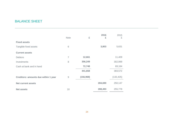# BALANCE SHEET

|                                             | <b>Note</b>    | £          | 2016<br>£ | 2015<br>£  |
|---------------------------------------------|----------------|------------|-----------|------------|
| <b>Fixed assets</b>                         |                |            |           |            |
| Tangible fixed assets                       | 6              |            | 3,803     | 5,631      |
| <b>Current assets</b>                       |                |            |           |            |
| <b>Debtors</b>                              | $\overline{7}$ | 12,661     |           | 11,409     |
| Investments                                 | 8              | 356,249    |           | 302,999    |
| Cash at bank and in hand                    |                | 72,748     |           | 69,164     |
|                                             |                | 441,658    |           | 383,572    |
| <b>Creditors: amounts due within 1 year</b> | 9              | (156, 968) |           | (133, 425) |
| <b>Net current assets</b>                   |                |            | 284,690   | 250,147    |
| <b>Net assets</b>                           | 10             |            | 288,493   | 255,778    |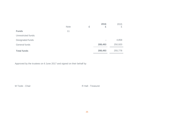|                     | <b>Note</b> | 2016<br>£<br>£ | 2015<br>£ |
|---------------------|-------------|----------------|-----------|
| <b>Funds</b>        | 11          |                |           |
| Unrestricted funds: |             |                |           |
| Designated funds    |             | $\sim$         | 4,858     |
| General funds       |             | 288,493        | 250,920   |
| <b>Total funds</b>  |             | 288,493        | 255,778   |

Approved by the trustees on 6 June 2017 and signed on their behalf by

M Toole - Chair **R Hall - Treasurer** R Hall - Treasurer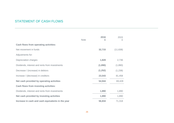# STATEMENT OF CASH FLOWS

|                                                   | <b>Note</b> | 2016<br>£ | 2015<br>£ |
|---------------------------------------------------|-------------|-----------|-----------|
| <b>Cash flows from operating activities:</b>      |             |           |           |
| Net movement in funds                             |             | 32,715    | (11, 638) |
| Adjustments for:                                  |             |           |           |
| Depreciation charges                              |             | 1,828     | 2,736     |
| Dividends, interest and rents from investments    |             | (1,890)   | (1,890)   |
| Decrease / (increase) in debtors                  |             | (1, 252)  | (1,238)   |
| Increase / (decrease) in creditors                |             | 23,543    | 81,458    |
| Net cash provided by operating activities         |             | 54,944    | 69,428    |
| <b>Cash flows from investing activities:</b>      |             |           |           |
| Dividends, interest and rents from investments    |             | 1,890     | 1,890     |
| Net cash provided by investing activities         |             | 1,890     | 1,890     |
| Increase in cash and cash equivalents in the year |             | 56,834    | 71,318    |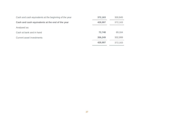| Cash and cash equivalents at the beginning of the year | 372,163 | 300,845 |
|--------------------------------------------------------|---------|---------|
| Cash and cash equivalents at the end of the year       | 428,997 | 372,163 |
| Analysed as:                                           |         |         |
| Cash at bank and in hand                               | 72,748  | 69,164  |
| Current asset investments                              | 356,249 | 302,999 |
|                                                        | 428,997 | 372,163 |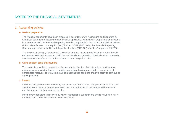# NOTES TO THE FINANCIAL STATEMENTS

#### 1. Accounting policies

#### a) Basis of preparation

The financial statements have been prepared in accordance with Accounting and Reporting by Charities: Statement of Recommended Practice applicable to charities in preparing their accounts in accordance with the Financial Reporting Standard applicable in the UK and Republic of Ireland (FRS 102) (effective 1 January 2015) - (Charities SORP (FRS 102)), the Financial Reporting Standard applicable in the UK and Republic of Ireland (FRS 102) and the Companies Act 2006.

The Society of College, National and University Libraries meets the definition of a public benefit entity under FRS 102. Assets and liabilities are initially recognised at historical cost or transaction value unless otherwise stated in the relevant accounting policy notes.

#### b) Going concern basis of accounting

The accounts have been prepared on the assumption that the charity is able to continue as a going concern, which the trustees consider appropriate having regard to the current level of unrestricted reserves. There are no material uncertainties about the charity's ability to continue as a going concern.

#### c) Income

Income is recognised when the charity has entitlement to the funds, any performance conditions attached to the items of income have been met, it is probable that the income will be received and the amount can be measured reliably.

Income from donations is received by way of membership subscriptions and is included in full in the statement of financial activities when receivable.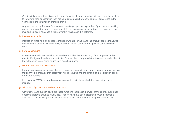Credit is taken for subscriptions in the year for which they are payable. Where a member wishes to terminate their subscription then notice must be given before the summer conference in the year prior to the termination of membership.

Any income arising from conferences and meetings, sponsorship, sales of publications, working papers or newsletters, and recharges of staff time to regional collaborations is recognised once invoiced, unless it relates to a future event in which case it is deferred.

#### d) Interest receivable

Interest on funds held on deposit is included when receivable and the amount can be measured reliably by the charity: this is normally upon notification of the interest paid or payable by the bank.

#### e) Funds accounting

Unrestricted funds are available to spend on activities that further any of the purposes of the charity. Designated funds are unrestricted funds of the charity which the trustees have decided at their discretion to set aside to use for a specific purpose.

#### f) Expenditure and irrecoverable VAT

Expenditure is recognised once there is a legal or constructive obligation to make a payment to a third party, it is probable that settlement will be required and the amount of the obligation can be measured reliably.

Irrecoverable VAT is charged as a cost against the activity for which the expenditure was incurred.

#### g) Allocation of governance and support costs

Governance and support costs are those functions that assist the work of the charity but do not directly undertake charitable activities. These costs have been allocated between charitable activities on the following basis, which is an estimate of the resource usage of each activity: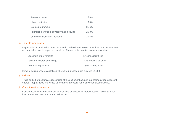| Access scheme                              | 15.8% |
|--------------------------------------------|-------|
| Library statistics                         | 15.8% |
| Events programme                           | 31.6% |
| Partnership working, advocacy and lobbying | 26.3% |
| Communications with members                | 10.5% |

#### h) Tangible fixed assets

Depreciation is provided at rates calculated to write down the cost of each asset to its estimated residual value over its expected useful life. The depreciation rates in use are as follows:

| Leasehold improvements           | 5 years straight line |
|----------------------------------|-----------------------|
| Furniture, fixtures and fittings | 20% reducing balance  |
| Computer equipment               | 3 years straight line |

Items of equipment are capitalised where the purchase price exceeds £1,000.

#### i) Debtors

Trade and other debtors are recognised at the settlement amount due after any trade discount offered. Prepayments are valued at the amount prepaid net of any trade discounts due.

#### j) Current asset investments

Current asset investments consist of cash held on deposit in interest bearing accounts. Such investments are measured at their fair value.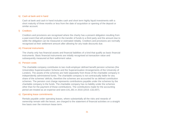#### k) Cash at bank and in hand

Cash at bank and cash in hand includes cash and short term highly liquid investments with a short maturity of three months or less from the date of acquisition or opening of the deposit or similar account.

#### l) Creditors

Creditors and provisions are recognised where the charity has a present obligation resulting from a past event that will probably result in the transfer of funds to a third party and the amount due to settle the obligation can be measured or estimated reliably. Creditors and provisions are normally recognised at their settlement amount after allowing for any trade discounts due.

#### m) Financial instruments

The charity only has financial assets and financial liabilities of a kind that qualify as basic financial instruments. Basic financial instruments are initially recognised at transaction value and subsequently measured at their settlement value.

#### n) Pension costs

The charitable company contributes to two multi-employer defined benefit pension schemes (the Universities Superannuation Scheme and the Superannuation Arrangements of the University of London). The assets of the schemes are held separately from those of the charitable company in independently administered funds. The charitable company is not contractually liable for any share of the schemes' deficits, therefore the schemes are accounted for as defined contribution schemes. The pension cost charge represents contributions payable under the schemes by the charitable company to the funds. The charitable company has no liability under the schemes other than for the payment of those contributions. The contributions made for the accounting period are treated as an expense and were £41,391 in 2016 (2015: £32,007).

#### o) Operating lease commitments

Rentals payable under operating leases, where substantially all the risks and rewards of ownership remain with the lessor, are charged to the statement of financial activities on a straight line basis over the minimum lease term.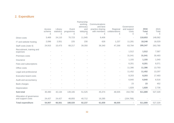# 2. Expenditure

|                                               | Access<br>scheme<br>£ | Library<br>statistics<br>£ | Event<br>programme<br>£ | Partnership<br>working,<br>advocacy<br>and<br>lobbying<br>£ | Communications<br>and best<br>practice sharing<br>with members<br>£ | Regional<br>collaborations<br>£ | Governance<br>and support<br>costs<br>£ | 2016<br><b>Total</b><br>£ | 2015<br>Total<br>£ |
|-----------------------------------------------|-----------------------|----------------------------|-------------------------|-------------------------------------------------------------|---------------------------------------------------------------------|---------------------------------|-----------------------------------------|---------------------------|--------------------|
| Direct costs                                  | 3,469                 | 24,110                     | 70,723                  | 11,945                                                      | 8,406                                                               |                                 | $\sim$                                  | 118,653                   | 148,062            |
| IT and website hosting                        | 2,096                 | 2,551                      | 225                     | 230                                                         | 628                                                                 | 1,237                           | 11,281                                  | 18,248                    | 16,029             |
| Staff costs (note 4)                          | 24,915                | 15,473                     | 68,217                  | 39,350                                                      | 36,340                                                              | 47,268                          | 63,784                                  | 295,347                   | 263,780            |
| Recruitment, training and<br>expenses         |                       |                            |                         |                                                             |                                                                     | $\overline{\phantom{a}}$        | 1,512                                   | 1,512                     | 7,587              |
| Premises costs                                |                       |                            |                         |                                                             |                                                                     | $\overline{\phantom{a}}$        | 31,041                                  | 31,041                    | 30,483             |
| Insurance                                     |                       |                            |                         |                                                             |                                                                     | $\overline{\phantom{a}}$        | 1,155                                   | 1,155                     | 1,040              |
| Fees and subscriptions                        |                       |                            |                         |                                                             |                                                                     | $\overline{\phantom{a}}$        | 6,201                                   | 6,201                     | 6,071              |
| Office costs                                  |                       |                            |                         |                                                             |                                                                     | $\overline{\phantom{a}}$        | 11,386                                  | 11,386                    | 13,793             |
| Legal and professional                        |                       |                            |                         |                                                             |                                                                     | ä,                              | 11,452                                  | 11,452                    | 13,297             |
| <b>Executive board costs</b>                  |                       |                            |                         |                                                             |                                                                     | $\overline{\phantom{a}}$        | 8,203                                   | 8,203                     | 17,483             |
| Audit and accountancy                         |                       |                            |                         |                                                             |                                                                     | $\overline{\phantom{a}}$        | 6,840                                   | 6,840                     | 6,516              |
| Bank charges                                  |                       |                            |                         |                                                             |                                                                     |                                 | 23                                      | 23                        | 452                |
| Depreciation                                  |                       |                            |                         |                                                             |                                                                     | $\overline{\phantom{a}}$        | 1,828                                   | 1,828                     | 2,736              |
| Sub-total                                     | 30,480                | 42,134                     | 139,165                 | 51,525                                                      | 45,374                                                              | 48,505                          | 154,706                                 | 511,889                   | 527,329            |
| Allocation of governance<br>and support costs | 24,427                | 24,427                     | 48,855                  | 40,712                                                      | 16,285                                                              |                                 | (154, 706)                              |                           |                    |
| <b>Total expenditure</b>                      | 54,907                | 66,561                     | 188,020                 | 92,237                                                      | 61,659                                                              | 48,505                          |                                         | 511,889                   | 527,329            |
|                                               |                       |                            |                         |                                                             |                                                                     |                                 |                                         |                           |                    |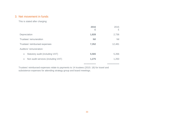## 3. Net movement in funds

This is stated after charging:

|                                                 | 2016<br>£  | 2015<br>£  |
|-------------------------------------------------|------------|------------|
| Depreciation                                    | 1,828      | 2,736      |
| Trustees' remuneration                          | <b>Nil</b> | <b>Nil</b> |
| Trustees' reimbursed expenses                   | 7,352      | 12,481     |
| Auditors' remuneration:                         |            |            |
| Statutory audit (including VAT)<br>$\bullet$    | 5,565      | 5,266      |
| Non audit services (including VAT)<br>$\bullet$ | 1,275      | 1,250      |
|                                                 |            |            |

Trustees' reimbursed expenses relate to payments to 14 trustees (2015: 18) for travel and subsistence expenses for attending strategy group and board meetings.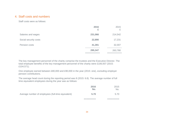## 4. Staff costs and numbers

Staff costs were as follows:

|                       | 2016<br>£ | 2015<br>£ |
|-----------------------|-----------|-----------|
| Salaries and wages    | 231,066   | 214,542   |
| Social security costs | 22,890    | 17,231    |
| Pension costs         | 41,391    | 32,007    |
|                       | 295,347   | 263,780   |

The key management personnel of the charity comprise the trustees and the Executive Director. The total employee benefits of the key management personnel of the charity were £106,937 (2015: £104,571).

One employee earned between £80,000 and £90,000 in the year (2015: one), excluding employer pension contributions.

The average head count during the reporting period was 8 (2015: 6.8). The average number of full time equivalent employees during the year was as follows:

|                                                    | 2016<br>No. | 2015<br>No. |
|----------------------------------------------------|-------------|-------------|
| Average number of employees (full-time equivalent) | 5.70        | 5.70        |

========= =========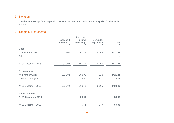## 5. Taxation

The charity is exempt from corporation tax as all its income is charitable and is applied for charitable purposes.

# 6. Tangible fixed assets

|                       | Leasehold<br>improvements<br>£ | Furniture,<br>fixtures<br>and fittings<br>£ | Computer<br>equipment<br>£ | <b>Total</b><br>£ |
|-----------------------|--------------------------------|---------------------------------------------|----------------------------|-------------------|
| <b>Cost</b>           |                                |                                             |                            |                   |
| At 1 January 2016     | 102,302                        | 40,345                                      | 5,105                      | 147,752           |
| <b>Additions</b>      |                                |                                             |                            |                   |
|                       |                                |                                             |                            |                   |
| At 31 December 2016   | 102,302                        | 40,345                                      | 5,105                      | 147,752           |
|                       |                                |                                             |                            |                   |
| <b>Depreciation</b>   |                                |                                             |                            |                   |
| At 1 January 2016     | 102,302                        | 35,591                                      | 4,228                      | 142,121           |
| Charge for the year   |                                | 951                                         | 877                        | 1,828             |
|                       |                                |                                             |                            |                   |
| At 31 December 2016   | 102,302                        | 36,542                                      | 5,105                      | 143,949           |
|                       |                                |                                             |                            |                   |
| <b>Net book value</b> |                                |                                             |                            |                   |
| At 31 December 2016   |                                | 3,803                                       |                            | 3,803             |
|                       |                                |                                             |                            |                   |
| At 31 December 2015   |                                | 4,754                                       | 877                        | 5,631             |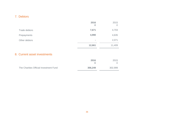# 7. Debtors

|               | 2016<br>£ | 2015<br>£ |
|---------------|-----------|-----------|
| Trade debtors | 7,671     | 4,703     |
| Prepayments   | 4,990     | 4,635     |
| Other debtors | $\sim$    | 2,071     |
|               | 12,661    | 11,409    |

## 8. Current asset investments

|                                        | 2016    | 2015    |
|----------------------------------------|---------|---------|
| The Charities Official Investment Fund | 356,249 | 302,999 |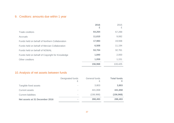# 9. Creditors: amounts due within 1 year

|                                                 | 2016<br>£ | 2015<br>£ |
|-------------------------------------------------|-----------|-----------|
| <b>Trade creditors</b>                          | 64,264    | 57,299    |
| Accruals                                        | 11,610    | 9,082     |
| Funds held on behalf of Northern Collaboration  | 17,983    | 19,938    |
| Funds held on behalf of Mercian Collaboration   | 6,508     | 11,194    |
| Funds held on behalf of NOWAL                   | 53,704    | 32,761    |
| Funds held on behalf of Copyright for Knowledge | 1,840     | 2,000     |
| Other creditors                                 | 1,059     | 1,151     |
|                                                 | 156,968   | 133,425   |

# 10.Analysis of net assets between funds

|                                | Designated funds | General funds<br>£ | <b>Total funds</b> |
|--------------------------------|------------------|--------------------|--------------------|
| Tangible fixed assets          |                  | 3,803              | 3,803              |
| <b>Current assets</b>          |                  | 441,658            | 441,658            |
| <b>Current liabilities</b>     |                  | (156, 968)         | (156, 968)         |
| Net assets at 31 December 2016 | $\equiv$         | 288,493            | 288,493            |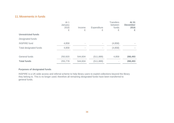## 11.Movements in funds

|                           | At $1$<br>January<br>2016<br>£ | Income<br>£              | Expenditure<br>£         | <b>Transfers</b><br>between<br>funds<br>£ | <b>At 31</b><br><b>December</b><br>2016<br>£ |
|---------------------------|--------------------------------|--------------------------|--------------------------|-------------------------------------------|----------------------------------------------|
| <b>Unrestricted funds</b> |                                |                          |                          |                                           |                                              |
| Designated funds:         |                                |                          |                          |                                           |                                              |
| <b>INSPIRE</b> fund       | 4,858                          | $\overline{\phantom{a}}$ | $\overline{\phantom{a}}$ | (4,858)                                   |                                              |
| Total designated funds    | 4,858                          | $\overline{\phantom{a}}$ | $\overline{\phantom{a}}$ | (4,858)                                   |                                              |
|                           |                                |                          |                          |                                           |                                              |
| General funds             | 250,920                        | 544,604                  | (511, 889)               | 4,858                                     | 288,493                                      |
| <b>Total funds</b>        | 255,778                        | 544,604                  | (511, 889)               |                                           | 288,493                                      |

#### **Purposes of designated funds**

INSPIRE is a UK-wide access and referral scheme to help library users to exploit collections beyond the library they belong to. This is no longer used; therefore all remaining designated funds have been transferred to general funds.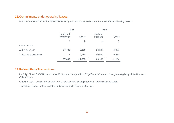## 12.Commitments under operating leases

At 31 December 2016 the charity had the following annual commitments under non-cancellable operating leases:

|                          | 2016                                         |        | 2015                  |        |
|--------------------------|----------------------------------------------|--------|-----------------------|--------|
|                          | <b>Land and</b><br>buildings<br><b>Other</b> |        | Land and<br>buildings | Other  |
|                          | £                                            | £      | £                     | £      |
| Payments due:            |                                              |        |                       |        |
| Within one year          | 17,436                                       | 5,306  | 23,248                | 4,368  |
| Within two to five years | $\sim$                                       | 6,299  | 40,684                | 6,916  |
|                          | 17,436                                       | 11,605 | 63,932                | 11,284 |

#### 13.Related Party Transactions

Liz Jolly, Chair of SCONUL until June 2016, is also in a position of significant influence on the governing body of the Northern Collaboration.

Caroline Taylor, trustee of SCONUL, is the Chair of the Steering Group for Mercian Collaboration.

Transactions between these related parties are detailed in note 14 below.